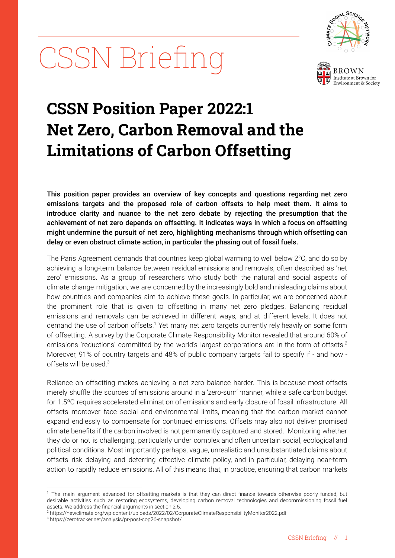# CSSN Briefing





## **CSSN Position Paper 2022:1 Net Zero, Carbon Removal and the Limitations of Carbon Offsetting**

This position paper provides an overview of key concepts and questions regarding net zero emissions targets and the proposed role of carbon offsets to help meet them. It aims to introduce clarity and nuance to the net zero debate by rejecting the presumption that the achievement of net zero depends on offsetting. It indicates ways in which a focus on offsetting might undermine the pursuit of net zero, highlighting mechanisms through which offsetting can delay or even obstruct climate action, in particular the phasing out of fossil fuels.

The Paris Agreement demands that countries keep global warming to well below 2°C, and do so by achieving a long-term balance between residual emissions and removals, often described as 'net zero' emissions. As a group of researchers who study both the natural and social aspects of climate change mitigation, we are concerned by the increasingly bold and misleading claims about how countries and companies aim to achieve these goals. In particular, we are concerned about the prominent role that is given to offsetting in many net zero pledges. Balancing residual emissions and removals can be achieved in different ways, and at different levels. It does not demand the use of carbon offsets.<sup>1</sup> Yet many net zero targets currently rely heavily on some form of offsetting. A survey by the Corporate Climate Responsibility Monitor revealed that around 60% of emissions 'reductions' committed by the world's largest corporations are in the form of offsets.<sup>2</sup> Moreover, 91% of country targets and 48% of public company targets fail to specify if - and how offsets will be used.<sup>3</sup>

Reliance on offsetting makes achieving a net zero balance harder. This is because most offsets merely shuffle the sources of emissions around in a 'zero-sum' manner, while a safe carbon budget for 1.5ºC requires accelerated elimination of emissions and early closure of fossil infrastructure. All offsets moreover face social and environmental limits, meaning that the carbon market cannot expand endlessly to compensate for continued emissions. Offsets may also not deliver promised climate benefits if the carbon involved is not permanently captured and stored. Monitoring whether they do or not is challenging, particularly under complex and often uncertain social, ecological and political conditions. Most importantly perhaps, vague, unrealistic and unsubstantiated claims about offsets risk delaying and deterring effective climate policy, and in particular, delaying near-term action to rapidly reduce emissions. All of this means that, in practice, ensuring that carbon markets

<sup>&</sup>lt;sup>1</sup> The main argument advanced for offsetting markets is that they can direct finance towards otherwise poorly funded, but desirable activities such as restoring ecosystems, developing carbon removal technologies and decommissioning fossil fuel assets. We address the financial arguments in section 2.5.

<sup>2</sup> https://newclimate.org/wp-content/uploads/2022/02/CorporateClimateResponsibilityMonitor2022.pdf

<sup>3</sup> https://zerotracker.net/analysis/pr-post-cop26-snapshot/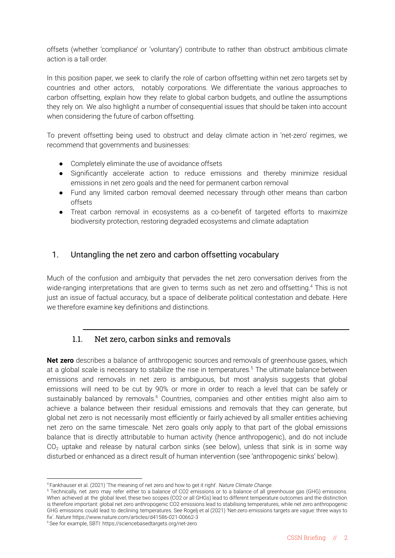offsets (whether 'compliance' or 'voluntary') contribute to rather than obstruct ambitious climate action is a tall order.

In this position paper, we seek to clarify the role of carbon offsetting within net zero targets set by countries and other actors, notably corporations. We differentiate the various approaches to carbon offsetting, explain how they relate to global carbon budgets, and outline the assumptions they rely on. We also highlight a number of consequential issues that should be taken into account when considering the future of carbon offsetting.

To prevent offsetting being used to obstruct and delay climate action in 'net-zero' regimes, we recommend that governments and businesses:

- Completely eliminate the use of avoidance offsets
- Significantly accelerate action to reduce emissions and thereby minimize residual emissions in net zero goals and the need for permanent carbon removal
- Fund any limited carbon removal deemed necessary through other means than carbon offsets
- Treat carbon removal in ecosystems as a co-benefit of targeted efforts to maximize biodiversity protection, restoring degraded ecosystems and climate adaptation

#### 1. Untangling the net zero and carbon offsetting vocabulary

Much of the confusion and ambiguity that pervades the net zero conversation derives from the wide-ranging interpretations that are given to terms such as net zero and offsetting.<sup>4</sup> This is not just an issue of factual accuracy, but a space of deliberate political contestation and debate. Here we therefore examine key definitions and distinctions.

#### 1.1. Net zero, carbon sinks and removals

**Net zero** describes a balance of anthropogenic sources and removals of greenhouse gases, which at a global scale is necessary to stabilize the rise in temperatures.<sup>5</sup> The ultimate balance between emissions and removals in net zero is ambiguous, but most analysis suggests that global emissions will need to be cut by 90% or more in order to reach a level that can be safely or sustainably balanced by removals.<sup>6</sup> Countries, companies and other entities might also aim to achieve a balance between their residual emissions and removals that they can generate, but global net zero is not necessarily most efficiently or fairly achieved by all smaller entities achieving net zero on the same timescale. Net zero goals only apply to that part of the global emissions balance that is directly attributable to human activity (hence anthropogenic), and do not include  $CO<sub>2</sub>$  uptake and release by natural carbon sinks (see below), unless that sink is in some way disturbed or enhanced as a direct result of human intervention (see 'anthropogenic sinks' below).

<sup>4</sup> Fankhauser et al. (2021) 'The meaning of net zero and how to get it right'. *Nature Climate Change.*

<sup>5</sup> Technically, net zero may refer either to a balance of CO2 emissions or to a balance of all greenhouse gas (GHG) emissions. When achieved at the global level, these two scopes (CO2 or all GHGs) lead to different temperature outcomes and the distinction is therefore important: global net zero anthropogenic CO2 emissions lead to stabilising temperatures, while net zero anthropogenic GHG emissions could lead to declining temperatures. See Rogelj et al (2021) 'Net-zero emissions targets are vague: three ways to fix'. *Nature* https://www.nature.com/articles/d41586-021-00662-3

<sup>6</sup>See for example, SBTI: https://sciencebasedtargets.org/net-zero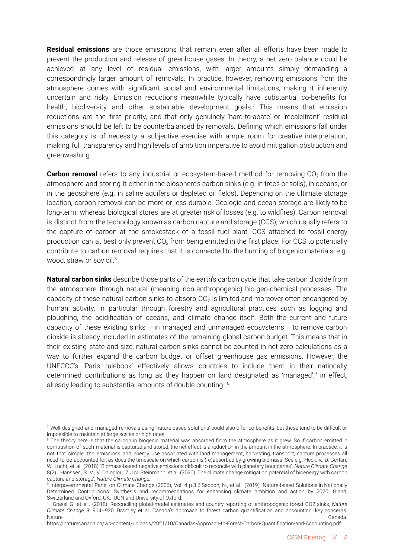**Residual emissions** are those emissions that remain even after all efforts have been made to prevent the production and release of greenhouse gases. In theory, a net zero balance could be achieved at any level of residual emissions, with larger amounts simply demanding a correspondingly larger amount of removals. In practice, however, removing emissions from the atmosphere comes with significant social and environmental limitations, making it inherently uncertain and risky. Emission reductions meanwhile typically have substantial co-benefits for health, biodiversity and other sustainable development goals.<sup>7</sup> This means that emission reductions are the first priority, and that only genuinely 'hard-to-abate' or 'recalcitrant' residual emissions should be left to be counterbalanced by removals. Defining which emissions fall under this category is of necessity a subjective exercise with ample room for creative interpretation, making full transparency and high levels of ambition imperative to avoid mitigation obstruction and greenwashing.

**Carbon removal** refers to any industrial or ecosystem-based method for removing CO<sub>2</sub> from the atmosphere and storing it either in the biosphere's carbon sinks (e.g. in trees or soils), in oceans, or in the geosphere (e.g. in saline aquifers or depleted oil fields). Depending on the ultimate storage location, carbon removal can be more or less durable. Geologic and ocean storage are likely to be long-term, whereas biological stores are at greater risk of losses (e.g. to wildfires). Carbon removal is distinct from the technology known as carbon capture and storage (CCS), which usually refers to the capture of carbon at the smokestack of a fossil fuel plant. CCS attached to fossil energy production can at best only prevent CO<sub>2</sub> from being emitted in the first place. For CCS to potentially contribute to carbon removal requires that it is connected to the burning of biogenic materials, e.g. wood, straw or soy oil.<sup>8</sup>

**Natural carbon sinks** describe those parts of the earth's carbon cycle that take carbon dioxide from the atmosphere through natural (meaning non-anthropogenic) bio-geo-chemical processes. The capacity of these natural carbon sinks to absorb CO<sub>2</sub> is limited and moreover often endangered by human activity, in particular through forestry and agricultural practices such as logging and ploughing, the acidification of oceans, and climate change itself. Both the current and future capacity of these existing sinks – in managed and unmanaged ecosystems – to remove carbon dioxide is already included in estimates of the remaining global carbon budget. This means that in their existing state and size, natural carbon sinks cannot be counted in net zero calculations as a way to further expand the carbon budget or offset greenhouse gas emissions. However, the UNFCCC's 'Paris rulebook' effectively allows countries to include them in their nationally determined contributions as long as they happen on land designated as 'managed',<sup>9</sup> in effect, already leading to substantial amounts of double counting.<sup>10</sup>

<sup>7</sup> Well designed and managed removals using 'nature based solutions' could also offer co-benefits, but these tend to be difficult or impossible to maintain at large scales or high rates.

<sup>&</sup>lt;sup>8</sup> The theory here is that the carbon in biogenic material was absorbed from the atmosphere as it grew. So if carbon emitted in combustion of such material is captured and stored, the net effect is a reduction in the amount in the atmosphere. In practice, it is not that simple: the emissions and energy use associated with land management, harvesting, transport, capture processes all need to be accounted for, as does the timescale on which carbon is (re)absorbed by growing biomass. See e.g. Heck, V., D. Gerten, W. Lucht, et al. (2018) 'Biomass-based negative emissions difficult to reconcile with planetary boundaries'. *Nature Climate Change* 8(2).; Hanssen, S. V., V. Daioglou, Z.J.N. Steinmann, et al. (2020) 'The climate change mitigation potential of bioenergy with carbon capture and storage'. *Nature Climate Change.*

<sup>9</sup> Intergovernmental Panel on Climate Change (2006), Vol. 4 p.3.6.Seddon, N., et al.. (2019). Nature-based Solutions in Nationally Determined Contributions: Synthesis and recommendations for enhancing climate ambition and action by 2020. Gland, Switzerland and Oxford, UK: IUCN and University of Oxford.

<sup>10</sup> Grassi G. et al., (2018). Reconciling global-model estimates and country reporting of anthropogenic forest CO2 sinks, *Nature Climate Change* 8: 914–920, Bramley et al. Canada's approach to forest carbon quantification and accounting: key concerns. Nature **Canada.** Constitution of the constitution of the constitution of the constitution of the constitution of the constitution of the constitution of the constitution of the constitution of the constitution of the const

<https://naturecanada.ca/wp-content/uploads/2021/10/Canadas-Approach-to-Forest-Carbon-Quantification-and-Accounting.pdf>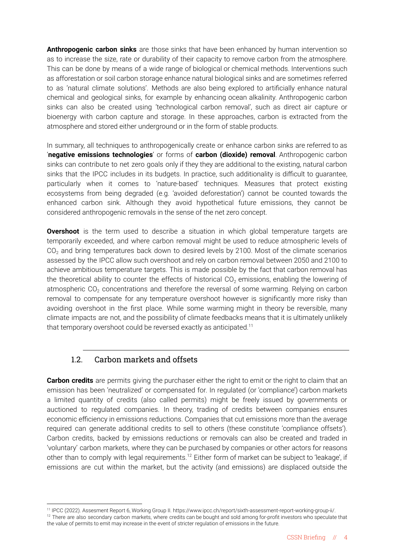**Anthropogenic carbon sinks** are those sinks that have been enhanced by human intervention so as to increase the size, rate or durability of their capacity to remove carbon from the atmosphere. This can be done by means of a wide range of biological or chemical methods. Interventions such as afforestation or soil carbon storage enhance natural biological sinks and are sometimes referred to as 'natural climate solutions'. Methods are also being explored to artificially enhance natural chemical and geological sinks, for example by enhancing ocean alkalinity. Anthropogenic carbon sinks can also be created using 'technological carbon removal', such as direct air capture or bioenergy with carbon capture and storage. In these approaches, carbon is extracted from the atmosphere and stored either underground or in the form of stable products.

In summary, all techniques to anthropogenically create or enhance carbon sinks are referred to as '**negative emissions technologies**' or forms of **carbon (dioxide) removal**. Anthropogenic carbon sinks can contribute to net zero goals only if they they are additional to the existing, natural carbon sinks that the IPCC includes in its budgets. In practice, such additionality is difficult to guarantee, particularly when it comes to 'nature-based' techniques. Measures that protect existing ecosystems from being degraded (e.g. 'avoided deforestation') cannot be counted towards the enhanced carbon sink. Although they avoid hypothetical future emissions, they cannot be considered anthropogenic removals in the sense of the net zero concept.

**Overshoot** is the term used to describe a situation in which global temperature targets are temporarily exceeded, and where carbon removal might be used to reduce atmospheric levels of CO<sub>2</sub> and bring temperatures back down to desired levels by 2100. Most of the climate scenarios assessed by the IPCC allow such overshoot and rely on carbon removal between 2050 and 2100 to achieve ambitious temperature targets. This is made possible by the fact that carbon removal has the theoretical ability to counter the effects of historical  $CO<sub>2</sub>$  emissions, enabling the lowering of atmospheric  $CO<sub>2</sub>$  concentrations and therefore the reversal of some warming. Relying on carbon removal to compensate for any temperature overshoot however is significantly more risky than avoiding overshoot in the first place. While some warming might in theory be reversible, many climate impacts are not, and the possibility of climate feedbacks means that it is ultimately unlikely that temporary overshoot could be reversed exactly as anticipated.<sup>11</sup>

#### 1.2. Carbon markets and offsets

**Carbon credits** are permits giving the purchaser either the right to emit or the right to claim that an emission has been 'neutralized' or compensated for. In regulated (or 'compliance') carbon markets a limited quantity of credits (also called permits) might be freely issued by governments or auctioned to regulated companies. In theory, trading of credits between companies ensures economic efficiency in emissions reductions. Companies that cut emissions more than the average required can generate additional credits to sell to others (these constitute 'compliance offsets'). Carbon credits, backed by emissions reductions or removals can also be created and traded in 'voluntary' carbon markets, where they can be purchased by companies or other actors for reasons other than to comply with legal requirements.<sup>12</sup> Either form of market can be subject to 'leakage', if emissions are cut within the market, but the activity (and emissions) are displaced outside the

<sup>&</sup>lt;sup>12</sup> There are also secondary carbon markets, where credits can be bought and sold among for-profit investors who speculate that the value of permits to emit may increase in the event of stricter regulation of emissions in the future. 11 IPCC (2022). Assesment Report 6, Working Group II. https://www.ipcc.ch/report/sixth-assessment-report-working-group-ii/.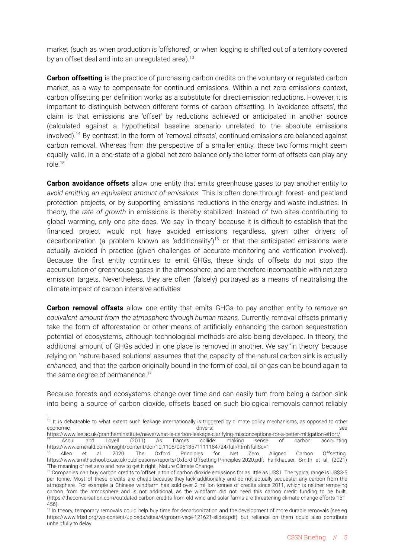market (such as when production is 'offshored', or when logging is shifted out of a territory covered by an offset deal and into an unregulated area). $13$ 

**Carbon offsetting** is the practice of purchasing carbon credits on the voluntary or regulated carbon market, as a way to compensate for continued emissions. Within a net zero emissions context, carbon offsetting per definition works as a substitute for direct emission reductions. However, it is important to distinguish between different forms of carbon offsetting. In 'avoidance offsets', the claim is that emissions are 'offset' by reductions achieved or anticipated in another source (calculated against a hypothetical baseline scenario unrelated to the absolute emissions involved).<sup>14</sup> By contrast, in the form of 'removal offsets', continued emissions are balanced against carbon removal. Whereas from the perspective of a smaller entity, these two forms might seem equally valid, in a end-state of a global net zero balance only the latter form of offsets can play any role.<sup>15</sup>

**Carbon avoidance offsets** allow one entity that emits greenhouse gases to pay another entity to *avoid emitting an equivalent amount of emissions*. This is often done through forest- and peatland protection projects, or by supporting emissions reductions in the energy and waste industries. In theory, the *rate of growth* in emissions is thereby stabilized: Instead of two sites contributing to global warming, only one site does. We say 'in theory' because it is difficult to establish that the financed project would not have avoided emissions regardless, given other drivers of decarbonization (a problem known as 'additionality')<sup>16</sup> or that the anticipated emissions were actually avoided in practice (given challenges of accurate monitoring and verification involved). Because the first entity continues to emit GHGs, these kinds of offsets do not stop the accumulation of greenhouse gases in the atmosphere, and are therefore incompatible with net zero emission targets. Nevertheless, they are often (falsely) portrayed as a means of neutralising the climate impact of carbon intensive activities.

**Carbon removal offsets** allow one entity that emits GHGs to pay another entity to *remove an equivalent amount from the atmosphere through human means*. Currently, removal offsets primarily take the form of afforestation or other means of artificially enhancing the carbon sequestration potential of ecosystems, although technological methods are also being developed. In theory, the additional amount of GHGs added in one place is removed in another. We say 'in theory' because relying on 'nature-based solutions' assumes that the capacity of the natural carbon sink is actually *enhanced*, and that the carbon originally bound in the form of coal, oil or gas can be bound again to the same degree of permanence.<sup>17</sup>

Because forests and ecosystems change over time and can easily turn from being a carbon sink into being a source of carbon dioxide, offsets based on such biological removals cannot reliably

<sup>&</sup>lt;sup>13</sup> It is debateable to what extent such leakage internationally is triggered by climate policy mechanisms, as opposed to other economic see see and the seconomic see see and the seconomic see see see and the seconomic see see see see see

<sup>&</sup>lt;sup>14</sup> Ascui and Lovell (2011) As frames collide: making sense of carbon accounting <https://www.emerald.com/insight/content/doi/10.1108/09513571111184724/full/html?fullSc=1> <https://www.lse.ac.uk/granthaminstitute/news/what-is-carbon-leakage-clarifying-misconceptions-for-a-better-mitigation-effort/><br><sup>14</sup> Ascui and Lovell (2011) As frames collide: making sense of carbon accounti

<sup>&</sup>lt;sup>15</sup> Allen et al. 2020. The Oxford Principles for Net Zero Aligned Carbon Offsetting. [https://www.smithschool.ox.ac.uk/publications/reports/Oxford-Offsetting-Principles-2020.pdf;](https://www.smithschool.ox.ac.uk/publications/reports/Oxford-Offsetting-Principles-2020.pdf) Fankhauser, Smith et al. (2021) 'The meaning of net zero and how to get it right'. Nature Climate Change.

<sup>&</sup>lt;sup>16</sup> Companies can buy carbon credits to 'offset' a ton of carbon dioxide emissions for as little as US\$1. The typical range is US\$3-5 per tonne. Most of these credits are cheap because they lack additionality and do not actually sequester any carbon from the atmosphere. For example a Chinese windfarm has sold over 2 million tonnes of credits since 2011, which is neither removing carbon from the atmosphere and is not additional, as the windfarm did not need this carbon credit funding to be built. (https://theconversation.com/outdated-carbon-credits-from-old-wind-and-solar-farms-are-threatening-climate-change-efforts-151 456).

<sup>&</sup>lt;sup>17</sup> In theory, temporary removals could help buy time for decarbonization and the development of more durable removals (see eg [https://www.frbsf.org/wp-content/uploads/sites/4/groom-vsce-121621-slides.pdf\)](https://www.frbsf.org/wp-content/uploads/sites/4/groom-vsce-121621-slides.pdf) but reliance on them could also contribute unhelpfully to delay.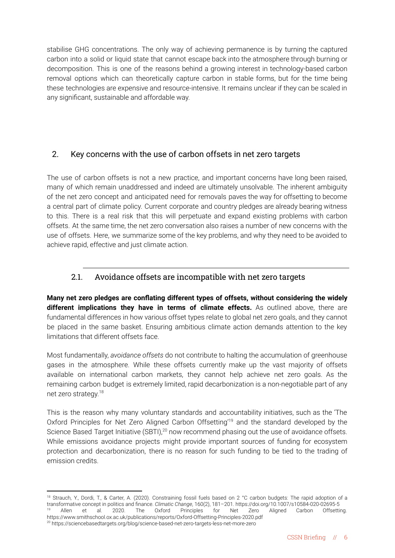stabilise GHG concentrations. The only way of achieving permanence is by turning the captured carbon into a solid or liquid state that cannot escape back into the atmosphere through burning or decomposition. This is one of the reasons behind a growing interest in technology-based carbon removal options which can theoretically capture carbon in stable forms, but for the time being these technologies are expensive and resource-intensive. It remains unclear if they can be scaled in any significant, sustainable and affordable way.

#### 2. Key concerns with the use of carbon offsets in net zero targets

The use of carbon offsets is not a new practice, and important concerns have long been raised, many of which remain unaddressed and indeed are ultimately unsolvable. The inherent ambiguity of the net zero concept and anticipated need for removals paves the way for offsetting to become a central part of climate policy. Current corporate and country pledges are already bearing witness to this. There is a real risk that this will perpetuate and expand existing problems with carbon offsets. At the same time, the net zero conversation also raises a number of new concerns with the use of offsets. Here, we summarize some of the key problems, and why they need to be avoided to achieve rapid, effective and just climate action.

#### 2.1. Avoidance offsets are incompatible with net zero targets

**Many net zero pledges are conflating different types of offsets, without considering the widely different implications they have in terms of climate effects.** As outlined above, there are fundamental differences in how various offset types relate to global net zero goals, and they cannot be placed in the same basket. Ensuring ambitious climate action demands attention to the key limitations that different offsets face.

Most fundamentally, *avoidance offsets* do not contribute to halting the accumulation of greenhouse gases in the atmosphere. While these offsets currently make up the vast majority of offsets available on international carbon markets, they cannot help achieve net zero goals. As the remaining carbon budget is extremely limited, rapid decarbonization is a non-negotiable part of any net zero strategy.<sup>18</sup>

This is the reason why many voluntary standards and accountability initiatives, such as the 'The Oxford Principles for Net Zero Aligned Carbon Offsetting<sup>19</sup> and the standard developed by the Science Based Target Initiative (SBTI),<sup>20</sup> now recommend phasing out the use of avoidance offsets. While emissions avoidance projects might provide important sources of funding for ecosystem protection and decarbonization, there is no reason for such funding to be tied to the trading of emission credits.

<sup>&</sup>lt;sup>19</sup> Allen et al. 2020. The Oxford Principles for Net Zero Aligned Carbon Offsetting. https://www.smithschool.ox.ac.uk/publications/reports/Oxford-Offsetting-Principles-2020.pdf <sup>18</sup> Strauch, Y., Dordi, T., & Carter, A. (2020). Constraining fossil fuels based on 2 °C carbon budgets: The rapid adoption of a transformative concept in politics and finance. *Climatic Change*, 160(2), 181–201. <https://doi.org/10.1007/s10584-020-02695-5>

<sup>20</sup> https://sciencebasedtargets.org/blog/science-based-net-zero-targets-less-net-more-zero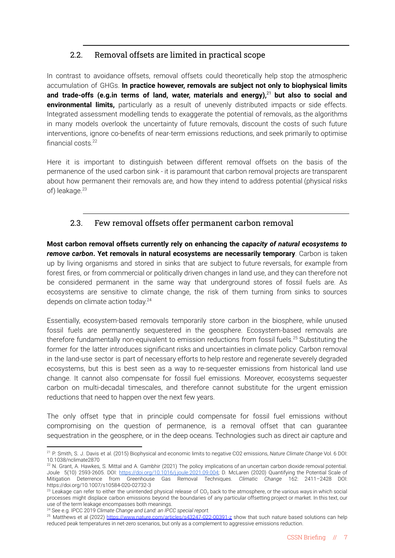#### 2.2. Removal offsets are limited in practical scope

In contrast to avoidance offsets, removal offsets could theoretically help stop the atmospheric accumulation of GHGs. **In practice however, removals are subject not only to biophysical limits and trade-offs (e.g.in terms of land, water, materials and energy),**<sup>21</sup> **but also to social and environmental limits,** particularly as a result of unevenly distributed impacts or side effects. Integrated assessment modelling tends to exaggerate the potential of removals, as the algorithms in many models overlook the uncertainty of future removals, discount the costs of such future interventions, ignore co-benefits of near-term emissions reductions, and seek primarily to optimise financial costs.<sup>22</sup>

Here it is important to distinguish between different removal offsets on the basis of the permanence of the used carbon sink - it is paramount that carbon removal projects are transparent about how permanent their removals are, and how they intend to address potential (physical risks of) leakage.<sup>23</sup>

#### 2.3. Few removal offsets offer permanent carbon removal

**Most carbon removal offsets currently rely on enhancing the** *capacity of natural ecosystems to remove carbon***. Yet removals in natural ecosystems are necessarily temporary**. Carbon is taken up by living organisms and stored in sinks that are subject to future reversals, for example from forest fires, or from commercial or politically driven changes in land use, and they can therefore not be considered permanent in the same way that underground stores of fossil fuels are. As ecosystems are sensitive to climate change, the risk of them turning from sinks to sources depends on climate action today.<sup>24</sup>

Essentially, ecosystem-based removals temporarily store carbon in the biosphere, while unused fossil fuels are permanently sequestered in the geosphere. Ecosystem-based removals are therefore fundamentally non-equivalent to emission reductions from fossil fuels.<sup>25</sup> Substituting the former for the latter introduces significant risks and uncertainties in climate policy. Carbon removal in the land-use sector is part of necessary efforts to help restore and regenerate severely degraded ecosystems, but this is best seen as a way to re-sequester emissions from historical land use change. It cannot also compensate for fossil fuel emissions. Moreover, ecosystems sequester carbon on multi-decadal timescales, and therefore cannot substitute for the urgent emission reductions that need to happen over the next few years.

The only offset type that in principle could compensate for fossil fuel emissions without compromising on the question of permanence, is a removal offset that can guarantee sequestration in the geosphere, or in the deep oceans. Technologies such as direct air capture and

<sup>21</sup> P. Smith, S. J. Davis et al. (2015) Biophysical and economic limits to negative CO2 emissions, *Nature Climate Change* Vol. 6 DOI: 10.1038/nclimate2870

 $22$  N. Grant, A. Hawkes, S. Mittal and A. Gambhir (2021) The policy implications of an uncertain carbon dioxide removal potential. Joule 5(10) 2593-2605. DOI: [https://doi.org/10.1016/j.joule.2021.09.004;](https://doi.org/10.1016/j.joule.2021.09.004) D. McLaren (2020) Quantifying the Potential Scale of Mitigation Deterrence from Greenhouse Gas Removal Techniques. *Climatic Change* 162: 2411–2428 DOI: https://doi.org/10.1007/s10584-020-02732-3

 $^{23}$  Leakage can refer to either the unintended physical release of CO<sub>2</sub> back to the atmosphere, or the various ways in which social processes might displace carbon emissions beyond the boundaries of any particular offsetting project or market. In this text, our use of the term leakage encompasses both meanings.

<sup>24</sup> See e.g. IPCC 2019 *Climate Change and Land: an IPCC special report.*

<sup>&</sup>lt;sup>25</sup> Matthews et al (2022) <https://www.nature.com/articles/s43247-022-00391-z> show that such nature based solutions can help reduced peak temperatures in net-zero scenarios, but only as a complement to aggressive emissions reduction.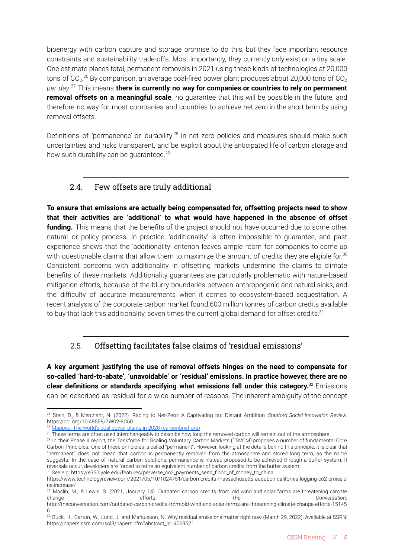bioenergy with carbon capture and storage promise to do this, but they face important resource constraints and sustainability trade-offs. Most importantly, they currently only exist on a tiny scale. One estimate places total, permanent removals in 2021 using these kinds of technologies at 20,000 tons of CO $_2$ .<sup>26</sup> By comparison, an average coal-fired power plant produces about 20,000 tons of CO $_2$ *per day*. <sup>27</sup> This means **there is currently no way for companies or countries to rely on permanent removal offsets on a meaningful scale**, no guarantee that this will be possible in the future, and therefore no way for most companies and countries to achieve net zero in the short term by using removal offsets.

Definitions of 'permanence' or 'durability<sup>'28</sup> in net zero policies and measures should make such uncertainties and risks transparent, and be explicit about the anticipated life of carbon storage and how such durability can be guaranteed.<sup>29</sup>

#### 2.4. Few offsets are truly additional

**To ensure that emissions are actually being compensated for, offsetting projects need to show that their activities are 'additional' to what would have happened in the absence of offset funding.** This means that the benefits of the project should not have occurred due to some other natural or policy process. In practice, 'additionality' is often impossible to guarantee, and past experience shows that the 'additionality' criterion leaves ample room for companies to come up with questionable claims that allow them to maximize the amount of credits they are eligible for.<sup>30</sup> Consistent concerns with additionality in offsetting markets undermine the claims to climate benefits of these markets. Additionality guarantees are particularly problematic with nature-based mitigation efforts, because of the blurry boundaries between anthropogenic and natural sinks, and the difficulty of accurate measurements when it comes to ecosystem-based sequestration. A recent analysis of the corporate carbon market found 600 million tonnes of carbon credits available to buy that lack this additionality, seven times the current global demand for offset credits.<sup>31</sup>

#### 2.5. Offsetting facilitates false claims of 'residual emissions'

**A key argument justifying the use of removal offsets hinges on the need to compensate for so-called 'hard-to-abate', 'unavoidable' or 'residual' emissions. In practice however, there are no clear definitions or standards specifying what emissions fall under this category.** <sup>32</sup> Emissions can be described as residual for a wide number of reasons. The inherent ambiguity of the concept

<sup>26</sup> Stein, D., & Merchant, N. (2022). Racing to Net-Zero: A Captivating but Distant Ambition. *Stanford Social Innovation Review.* https://doi.org/10.48558/7W02-8C60

<sup>&</sup>lt;sup>27</sup> Mapped: The world's coal power plants in 2020 [\(carbonbrief.org\)](https://www.carbonbrief.org/mapped-worlds-coal-power-plants)

<sup>&</sup>lt;sup>28</sup> These terms are often used interchangeably to describe how long the removed carbon will remain out of the atmosphere.

<sup>&</sup>lt;sup>30</sup> See e.g. https://e360.yale.edu/features/perverse\_co2\_payments\_send\_flood\_of\_money\_to\_china; <sup>29</sup> In their Phase II report, the Taskforce for Scaling Voluntary Carbon Markets (TSVCM) proposes a number of fundamental Core Carbon Principles. One of these principles is called "permanent". However, looking at the details behind this principle, it is clear that "permanent" does not mean that carbon is permanently removed from the atmosphere and stored long term, as the name suggests. In the case of natural carbon solutions, permanence is instead proposed to be achieved through a buffer system. If reversals occur, developers are forced to retire an equivalent number of carbon credits from the buffer system.

https://www.technologyreview.com/2021/05/10/1024751/carbon-credits-massachusetts-audubon-california-logging-co2-emissio ns-increase/

<sup>&</sup>lt;sup>31</sup> Maslin, M., & Lewis, S. (2021, January 14). Outdated carbon credits from old wind and solar farms are threatening climate change efforts. *The Conversation*.

[http://theconversation.com/outdated-carbon-credits-from-old-wind-and-solar-farms-are-threatening-climate-change-efforts-15145](http://theconversation.com/outdated-carbon-credits-from-old-wind-and-solar-farms-are-threatening-climate-change-efforts-151456) [6](http://theconversation.com/outdated-carbon-credits-from-old-wind-and-solar-farms-are-threatening-climate-change-efforts-151456)

 $^{32}$  Buck, H., Carton, W., Lund, J. and Markusson, N. Why residual emissions matter right now (March 29, 2022). Available at SSRN: https://papers.ssrn.com/sol3/papers.cfm?abstract\_id=4069521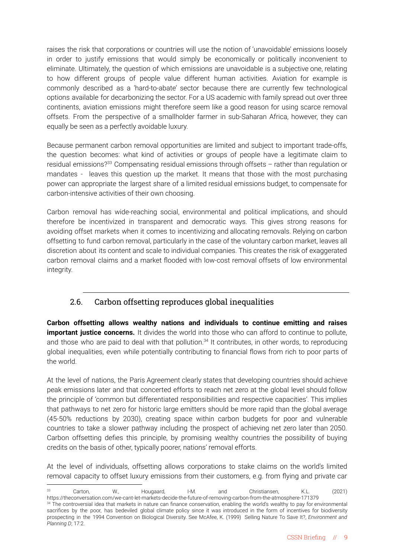raises the risk that corporations or countries will use the notion of 'unavoidable' emissions loosely in order to justify emissions that would simply be economically or politically inconvenient to eliminate. Ultimately, the question of which emissions are unavoidable is a subjective one, relating to how different groups of people value different human activities. Aviation for example is commonly described as a 'hard-to-abate' sector because there are currently few technological options available for decarbonizing the sector. For a US academic with family spread out over three continents, aviation emissions might therefore seem like a good reason for using scarce removal offsets. From the perspective of a smallholder farmer in sub-Saharan Africa, however, they can equally be seen as a perfectly avoidable luxury.

Because permanent carbon removal opportunities are limited and subject to important trade-offs, the question becomes: what kind of activities or groups of people have a legitimate claim to residual emissions?<sup>33</sup> Compensating residual emissions through offsets  $-$  rather than regulation or mandates - leaves this question up the market. It means that those with the most purchasing power can appropriate the largest share of a limited residual emissions budget, to compensate for carbon-intensive activities of their own choosing.

Carbon removal has wide-reaching social, environmental and political implications, and should therefore be incentivized in transparent and democratic ways. This gives strong reasons for avoiding offset markets when it comes to incentivizing and allocating removals. Relying on carbon offsetting to fund carbon removal, particularly in the case of the voluntary carbon market, leaves all discretion about its content and scale to individual companies. This creates the risk of exaggerated carbon removal claims and a market flooded with low-cost removal offsets of low environmental integrity.

#### 2.6. Carbon offsetting reproduces global inequalities

**Carbon offsetting allows wealthy nations and individuals to continue emitting and raises important iustice concerns.** It divides the world into those who can afford to continue to pollute, and those who are paid to deal with that pollution.<sup>34</sup> It contributes, in other words, to reproducing global inequalities, even while potentially contributing to financial flows from rich to poor parts of the world.

At the level of nations, the Paris Agreement clearly states that developing countries should achieve peak emissions later and that concerted efforts to reach net zero at the global level should follow the principle of 'common but differentiated responsibilities and respective capacities'. This implies that pathways to net zero for historic large emitters should be more rapid than the global average (45-50% reductions by 2030), creating space within carbon budgets for poor and vulnerable countries to take a slower pathway including the prospect of achieving net zero later than 2050. Carbon offsetting defies this principle, by promising wealthy countries the possibility of buying credits on the basis of other, typically poorer, nations' removal efforts.

At the level of individuals, offsetting allows corporations to stake claims on the world's limited removal capacity to offset luxury emissions from their customers, e.g. from flying and private car

*Planning D*; 17:2.

<sup>&</sup>lt;sup>34</sup> The controversial idea that markets in nature can finance conservation, enabling the world's wealthy to pay for environmental sacrifices by the poor, has bedeviled global climate policy since it was introduced in the form of incentives for biodiversity prospecting in the 1994 Convention on Biological Diversity. See McAfee, K. (1999) Selling Nature To Save It?, *Environment and* <sup>33</sup> Carton, W., Hougaard, I-M. and Christiansen, K.L. (2021) https://theconversation.com/we-cant-let-markets-decide-the-future-of-removing-carbon-from-the-atmosphere-171379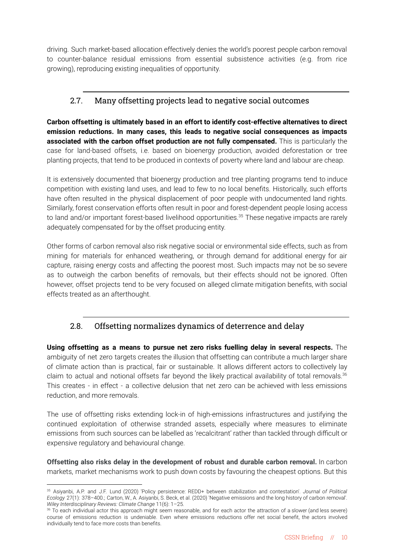driving. Such market-based allocation effectively denies the world's poorest people carbon removal to counter-balance residual emissions from essential subsistence activities (e.g. from rice growing), reproducing existing inequalities of opportunity.

#### 2.7. Many offsetting projects lead to negative social outcomes

**Carbon offsetting is ultimately based in an effort to identify cost-effective alternatives to direct emission reductions. In many cases, this leads to negative social consequences as impacts associated with the carbon offset production are not fully compensated.** This is particularly the case for land-based offsets, i.e. based on bioenergy production, avoided deforestation or tree planting projects, that tend to be produced in contexts of poverty where land and labour are cheap.

It is extensively documented that bioenergy production and tree planting programs tend to induce competition with existing land uses, and lead to few to no local benefits. Historically, such efforts have often resulted in the physical displacement of poor people with undocumented land rights. Similarly, forest conservation efforts often result in poor and forest-dependent people losing access to land and/or important forest-based livelihood opportunities.<sup>35</sup> These negative impacts are rarely adequately compensated for by the offset producing entity.

Other forms of carbon removal also risk negative social or environmental side effects, such as from mining for materials for enhanced weathering, or through demand for additional energy for air capture, raising energy costs and affecting the poorest most. Such impacts may not be so severe as to outweigh the carbon benefits of removals, but their effects should not be ignored. Often however, offset projects tend to be very focused on alleged climate mitigation benefits, with social effects treated as an afterthought.

### 2.8. Offsetting normalizes dynamics of deterrence and delay

**Using offsetting as a means to pursue net zero risks fuelling delay in several respects.** The ambiguity of net zero targets creates the illusion that offsetting can contribute a much larger share of climate action than is practical, fair or sustainable. It allows different actors to collectively lay claim to actual and notional offsets far beyond the likely practical availability of total removals.<sup>36</sup> This creates - in effect - a collective delusion that net zero can be achieved with less emissions reduction, and more removals.

The use of offsetting risks extending lock-in of high-emissions infrastructures and justifying the continued exploitation of otherwise stranded assets, especially where measures to eliminate emissions from such sources can be labelled as 'recalcitrant' rather than tackled through difficult or expensive regulatory and behavioural change.

**Offsetting also risks delay in the development of robust and durable carbon removal.** In carbon markets, market mechanisms work to push down costs by favouring the cheapest options. But this

<sup>35</sup> Asiyanbi, A.P. and J.F. Lund (2020) 'Policy persistence: REDD+ between stabilization and contestation'. *Journal of Political Ecology* 27(1): 378–400.; Carton, W., A. Asiyanbi, S. Beck, et al. (2020) 'Negative emissions and the long history of carbon removal'. *Wiley Interdisciplinary Reviews: Climate Change* 11(6): 1–25.

<sup>&</sup>lt;sup>266</sup> To each individual actor this approach might seem reasonable, and for each actor the attraction of a slower (and less severe) course of emissions reduction is undeniable. Even where emissions reductions offer net social benefit, the actors involved individually tend to face more costs than benefits.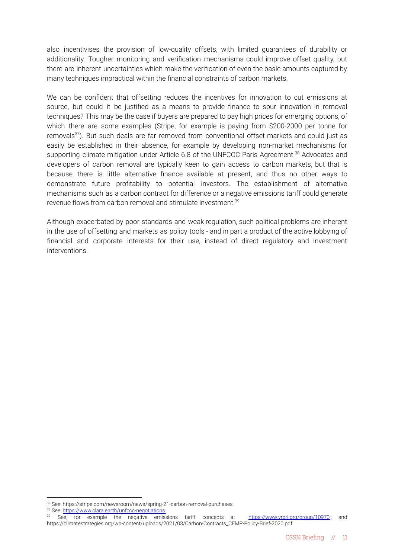also incentivises the provision of low-quality offsets, with limited guarantees of durability or additionality. Tougher monitoring and verification mechanisms could improve offset quality, but there are inherent uncertainties which make the verification of even the basic amounts captured by many techniques impractical within the financial constraints of carbon markets.

We can be confident that offsetting reduces the incentives for innovation to cut emissions at source, but could it be justified as a means to provide finance to spur innovation in removal techniques? This may be the case if buyers are prepared to pay high prices for emerging options, of which there are some examples (Stripe, for example is paying from \$200-2000 per tonne for removals<sup>37</sup>). But such deals are far removed from conventional offset markets and could just as easily be established in their absence, for example by developing non-market mechanisms for supporting climate mitigation under Article 6.8 of the UNFCCC Paris Agreement.<sup>38</sup> Advocates and developers of carbon removal are typically keen to gain access to carbon markets, but that is because there is little alternative finance available at present, and thus no other ways to demonstrate future profitability to potential investors. The establishment of alternative mechanisms such as a carbon contract for difference or a negative emissions tariff could generate revenue flows from carbon removal and stimulate investment.<sup>39</sup>

Although exacerbated by poor standards and weak regulation, such political problems are inherent in the use of offsetting and markets as policy tools - and in part a product of the active lobbying of financial and corporate interests for their use, instead of direct regulatory and investment interventions.

38 See: <https://www.clara.earth/unfccc-negotiations>.

<sup>37</sup> See: https://stripe.com/newsroom/news/spring-21-carbon-removal-purchases

See, for example the negative emissions tariff concepts at [https://www.yrpri.org/group/10970;](https://www.yrpri.org/group/10970); and https://climatestrategies.org/wp-content/uploads/2021/03/Carbon-Contracts\_CFMP-Policy-Brief-2020.pdf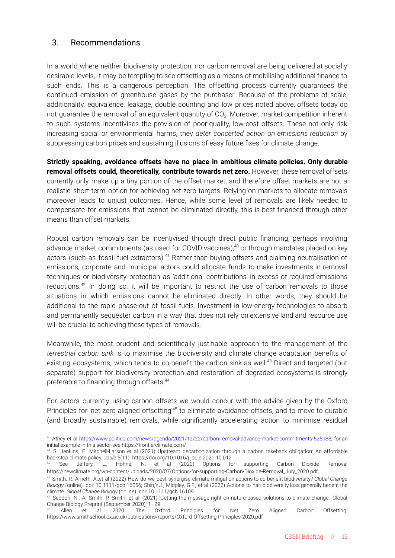#### 3. Recommendations

In a world where neither biodiversity protection, nor carbon removal are being delivered at socially desirable levels, it may be tempting to see offsetting as a means of mobilising additional finance to such ends. This is a dangerous perception. The offsetting process currently guarantees the continued emission of greenhouse gases by the purchaser. Because of the problems of scale, additionality, equivalence, leakage, double counting and low prices noted above, offsets today do not guarantee the removal of an equivalent quantity of CO<sub>2</sub>. Moreover, market competition inherent to such systems incentivises the provision of poor-quality, low-cost offsets. These not only risk increasing social or environmental harms, they *deter concerted action on emissions reduction* by suppressing carbon prices and sustaining illusions of easy future fixes for climate change.

**Strictly speaking, avoidance offsets have no place in ambitious climate policies. Only durable removal offsets could, theoretically, contribute towards net zero.** However, these removal offsets currently only make up a tiny portion of the offset market, and therefore offset markets are not a realistic short-term option for achieving net zero targets. Relying on markets to allocate removals moreover leads to unjust outcomes. Hence, while some level of removals are likely needed to compensate for emissions that cannot be eliminated directly, this is best financed through other means than offset markets.

Robust carbon removals can be incentivised through direct public financing, perhaps involving advance market commitments (as used for COVID vaccines),<sup>40</sup> or through mandates placed on key actors (such as fossil fuel extractors).<sup>41</sup> Rather than buying offsets and claiming neutralisation of emissions, corporate and municipal actors could allocate funds to make investments in removal techniques or biodiversity protection as 'additional contributions' in excess of required emissions reductions.<sup>42</sup> In doing so, it will be important to restrict the use of carbon removals to those situations in which emissions cannot be eliminated directly. In other words, they should be additional to the rapid phase-out of fossil fuels. Investment in low-energy technologies to absorb and permanently sequester carbon in a way that does not rely on extensive land and resource use will be crucial to achieving these types of removals.

Meanwhile, the most prudent and scientifically justifiable approach to the management of the *terrestrial carbon sink* is to maximise the biodiversity and climate change adaptation benefits of existing ecosystems, which tends to co-benefit the carbon sink as well.<sup>43</sup> Direct and targeted (but separate) support for biodiversity protection and restoration of degraded ecosystems is strongly preferable to financing through offsets.<sup>44</sup>

For actors currently using carbon offsets we would concur with the advice given by the Oxford Principles for 'net zero aligned offsetting<sup>'45</sup> to eliminate avoidance offsets, and to move to durable (and broadly sustainable) removals, while significantly accelerating action to minimise residual

<sup>40</sup> Athey et al [https://www.politico.com/news/agenda/2021/12/22/carbon-removal-advance-market-commitments-525988;](https://www.politico.com/news/agenda/2021/12/22/carbon-removal-advance-market-commitments-525988) for an initial example in this sector see https://frontierclimate.com/

<sup>&</sup>lt;sup>41</sup> S. Jenkins, E. Mitchell-Larson et al (2021) Upstream decarbonization through a carbon takeback obligation: An affordable backstop climate policy. *Joule* 5(11) https://doi.org/10.1016/j.joule.2021.10.012

See Jeffery, L., Höhne, N. et al (2020) Options for supporting Carbon Dioxide Removal https://newclimate.org/wp-content/uploads/2020/07/Options-for-supporting-Carbon-Dioxide-Removal\_July\_2020.pdf

<sup>43</sup> Smith, P., Arneth, A.,et al (2022) How do we best synergise climate mitigation actions to co-benefit biodiversity? *Global Change Biology (*online). doi: 10.1111/gcb.16056; Shin,Y.J., Midgley, G.F., et al (2022) Actions to halt biodiversity loss generally benefit the climate. *Global Change Biology* (online). doi: 10.1111/gcb.16109

<sup>44</sup> Seddon, N., A. Smith, P. Smith, et al. (2021) 'Getting the message right on nature-based solutions to climate change'. Global Change Biology Preprint (September 2020): 1–29.

<sup>45</sup> Allen et al. 2020. The Oxford Principles for Net Zero Aligned Carbon Offsetting. https://www.smithschool.ox.ac.uk/publications/reports/Oxford-Offsetting-Principles-2020.pdf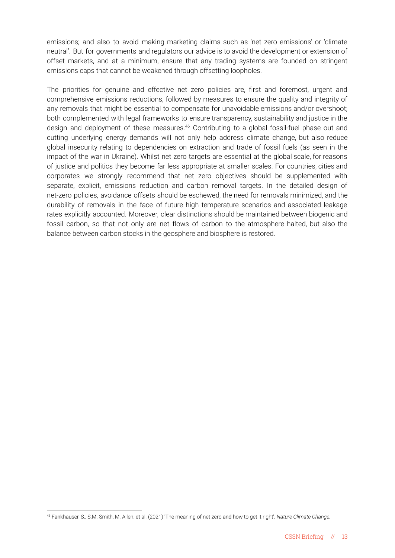emissions; and also to avoid making marketing claims such as 'net zero emissions' or 'climate neutral'. But for governments and regulators our advice is to avoid the development or extension of offset markets, and at a minimum, ensure that any trading systems are founded on stringent emissions caps that cannot be weakened through offsetting loopholes.

The priorities for genuine and effective net zero policies are, first and foremost, urgent and comprehensive emissions reductions, followed by measures to ensure the quality and integrity of any removals that might be essential to compensate for unavoidable emissions and/or overshoot; both complemented with legal frameworks to ensure transparency, sustainability and justice in the design and deployment of these measures.<sup>46</sup> Contributing to a global fossil-fuel phase out and cutting underlying energy demands will not only help address climate change, but also reduce global insecurity relating to dependencies on extraction and trade of fossil fuels (as seen in the impact of the war in Ukraine). Whilst net zero targets are essential at the global scale, for reasons of justice and politics they become far less appropriate at smaller scales. For countries, cities and corporates we strongly recommend that net zero objectives should be supplemented with separate, explicit, emissions reduction and carbon removal targets. In the detailed design of net-zero policies, avoidance offsets should be eschewed, the need for removals minimized, and the durability of removals in the face of future high temperature scenarios and associated leakage rates explicitly accounted. Moreover, clear distinctions should be maintained between biogenic and fossil carbon, so that not only are net flows of carbon to the atmosphere halted, but also the balance between carbon stocks in the geosphere and biosphere is restored.

<sup>46</sup> Fankhauser, S., S.M. Smith, M. Allen, et al. (2021) 'The meaning of net zero and how to get it right'. *Nature Climate Change.*